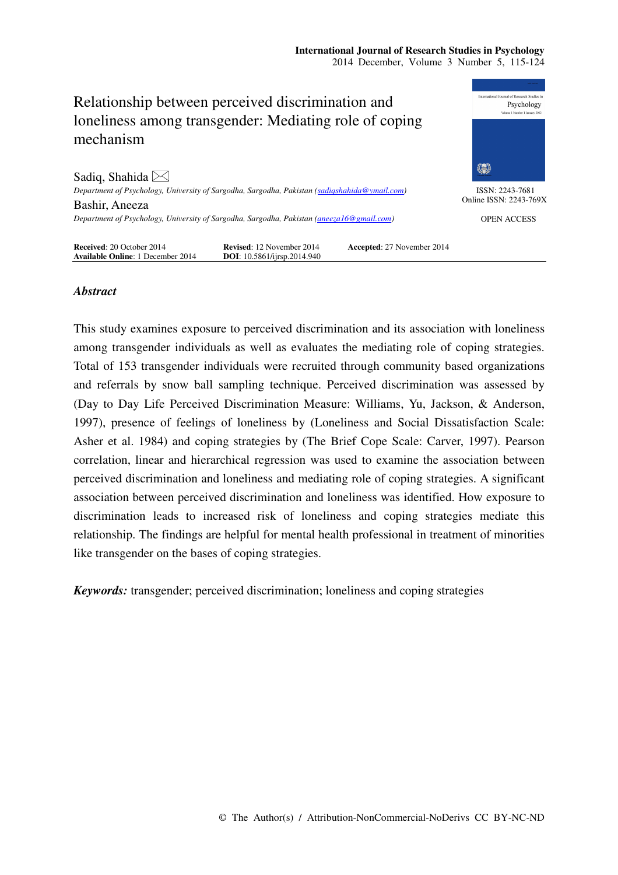### **International Journal of Research Studies in Psychology**  2014 December, Volume 3 Number 5, 115-124



# *Abstract*

This study examines exposure to perceived discrimination and its association with loneliness among transgender individuals as well as evaluates the mediating role of coping strategies. Total of 153 transgender individuals were recruited through community based organizations and referrals by snow ball sampling technique. Perceived discrimination was assessed by (Day to Day Life Perceived Discrimination Measure: Williams, Yu, Jackson, & Anderson, 1997), presence of feelings of loneliness by (Loneliness and Social Dissatisfaction Scale: Asher et al. 1984) and coping strategies by (The Brief Cope Scale: Carver, 1997). Pearson correlation, linear and hierarchical regression was used to examine the association between perceived discrimination and loneliness and mediating role of coping strategies. A significant association between perceived discrimination and loneliness was identified. How exposure to discrimination leads to increased risk of loneliness and coping strategies mediate this relationship. The findings are helpful for mental health professional in treatment of minorities like transgender on the bases of coping strategies.

*Keywords:* transgender; perceived discrimination; loneliness and coping strategies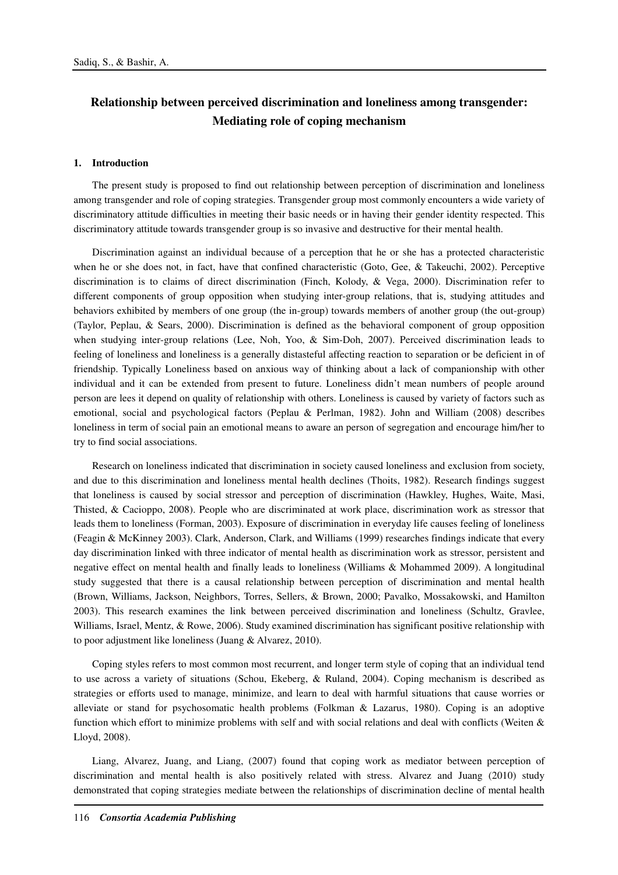# **Relationship between perceived discrimination and loneliness among transgender: Mediating role of coping mechanism**

### **1. Introduction**

The present study is proposed to find out relationship between perception of discrimination and loneliness among transgender and role of coping strategies. Transgender group most commonly encounters a wide variety of discriminatory attitude difficulties in meeting their basic needs or in having their gender identity respected. This discriminatory attitude towards transgender group is so invasive and destructive for their mental health.

Discrimination against an individual because of a perception that he or she has a protected characteristic when he or she does not, in fact, have that confined characteristic (Goto, Gee, & Takeuchi, 2002). Perceptive discrimination is to claims of direct discrimination (Finch, Kolody, & Vega, 2000). Discrimination refer to different components of group opposition when studying inter-group relations, that is, studying attitudes and behaviors exhibited by members of one group (the in-group) towards members of another group (the out-group) (Taylor, Peplau, & Sears, 2000). Discrimination is defined as the behavioral component of group opposition when studying inter-group relations (Lee, Noh, Yoo, & Sim-Doh, 2007). Perceived discrimination leads to feeling of loneliness and loneliness is a generally distasteful affecting reaction to separation or be deficient in of friendship. Typically Loneliness based on anxious way of thinking about a lack of companionship with other individual and it can be extended from present to future. Loneliness didn't mean numbers of people around person are lees it depend on quality of relationship with others. Loneliness is caused by variety of factors such as emotional, social and psychological factors (Peplau & Perlman, 1982). John and William (2008) describes loneliness in term of social pain an emotional means to aware an person of segregation and encourage him/her to try to find social associations.

Research on loneliness indicated that discrimination in society caused loneliness and exclusion from society, and due to this discrimination and loneliness mental health declines (Thoits, 1982). Research findings suggest that loneliness is caused by social stressor and perception of discrimination (Hawkley, Hughes, Waite, Masi, Thisted, & Cacioppo, 2008). People who are discriminated at work place, discrimination work as stressor that leads them to loneliness (Forman, 2003). Exposure of discrimination in everyday life causes feeling of loneliness (Feagin & McKinney 2003). Clark, Anderson, Clark, and Williams (1999) researches findings indicate that every day discrimination linked with three indicator of mental health as discrimination work as stressor, persistent and negative effect on mental health and finally leads to loneliness (Williams & Mohammed 2009). A longitudinal study suggested that there is a causal relationship between perception of discrimination and mental health (Brown, Williams, Jackson, Neighbors, Torres, Sellers, & Brown, 2000; Pavalko, Mossakowski, and Hamilton 2003). This research examines the link between perceived discrimination and loneliness (Schultz, Gravlee, Williams, Israel, Mentz, & Rowe, 2006). Study examined discrimination has significant positive relationship with to poor adjustment like loneliness (Juang & Alvarez, 2010).

Coping styles refers to most common most recurrent, and longer term style of coping that an individual tend to use across a variety of situations (Schou, Ekeberg, & Ruland, 2004). Coping mechanism is described as strategies or efforts used to manage, minimize, and learn to deal with harmful situations that cause worries or alleviate or stand for psychosomatic health problems (Folkman & Lazarus, 1980). Coping is an adoptive function which effort to minimize problems with self and with social relations and deal with conflicts (Weiten & Lloyd, 2008).

Liang, Alvarez, Juang, and Liang, (2007) found that coping work as mediator between perception of discrimination and mental health is also positively related with stress. Alvarez and Juang (2010) study demonstrated that coping strategies mediate between the relationships of discrimination decline of mental health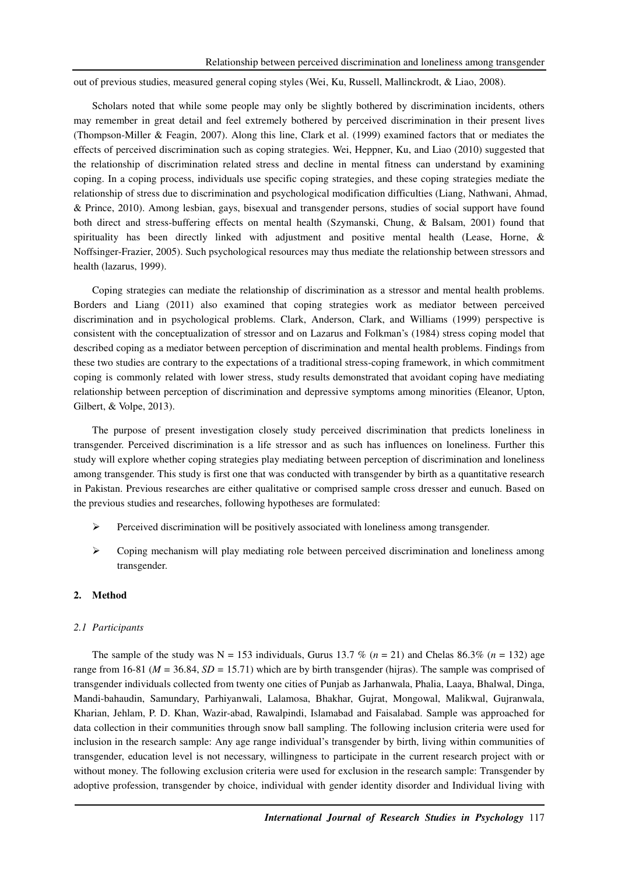out of previous studies, measured general coping styles (Wei, Ku, Russell, Mallinckrodt, & Liao, 2008).

Scholars noted that while some people may only be slightly bothered by discrimination incidents, others may remember in great detail and feel extremely bothered by perceived discrimination in their present lives (Thompson-Miller & Feagin, 2007). Along this line, Clark et al. (1999) examined factors that or mediates the effects of perceived discrimination such as coping strategies. Wei, Heppner, Ku, and Liao (2010) suggested that the relationship of discrimination related stress and decline in mental fitness can understand by examining coping. In a coping process, individuals use specific coping strategies, and these coping strategies mediate the relationship of stress due to discrimination and psychological modification difficulties (Liang, Nathwani, Ahmad, & Prince, 2010). Among lesbian, gays, bisexual and transgender persons, studies of social support have found both direct and stress-buffering effects on mental health (Szymanski, Chung, & Balsam, 2001) found that spirituality has been directly linked with adjustment and positive mental health (Lease, Horne, & Noffsinger-Frazier, 2005). Such psychological resources may thus mediate the relationship between stressors and health (lazarus, 1999).

Coping strategies can mediate the relationship of discrimination as a stressor and mental health problems. Borders and Liang (2011) also examined that coping strategies work as mediator between perceived discrimination and in psychological problems. Clark, Anderson, Clark, and Williams (1999) perspective is consistent with the conceptualization of stressor and on Lazarus and Folkman's (1984) stress coping model that described coping as a mediator between perception of discrimination and mental health problems. Findings from these two studies are contrary to the expectations of a traditional stress-coping framework, in which commitment coping is commonly related with lower stress, study results demonstrated that avoidant coping have mediating relationship between perception of discrimination and depressive symptoms among minorities (Eleanor, Upton, Gilbert, & Volpe, 2013).

The purpose of present investigation closely study perceived discrimination that predicts loneliness in transgender. Perceived discrimination is a life stressor and as such has influences on loneliness. Further this study will explore whether coping strategies play mediating between perception of discrimination and loneliness among transgender. This study is first one that was conducted with transgender by birth as a quantitative research in Pakistan. Previous researches are either qualitative or comprised sample cross dresser and eunuch. Based on the previous studies and researches, following hypotheses are formulated:

- $\triangleright$  Perceived discrimination will be positively associated with loneliness among transgender.
- $\triangleright$  Coping mechanism will play mediating role between perceived discrimination and loneliness among transgender.

### **2. Method**

### *2.1 Participants*

The sample of the study was  $N = 153$  individuals, Gurus 13.7 % ( $n = 21$ ) and Chelas 86.3% ( $n = 132$ ) age range from 16-81 ( $M = 36.84$ ,  $SD = 15.71$ ) which are by birth transgender (hijras). The sample was comprised of transgender individuals collected from twenty one cities of Punjab as Jarhanwala, Phalia, Laaya, Bhalwal, Dinga, Mandi-bahaudin, Samundary, Parhiyanwali, Lalamosa, Bhakhar, Gujrat, Mongowal, Malikwal, Gujranwala, Kharian, Jehlam, P. D. Khan, Wazir-abad, Rawalpindi, Islamabad and Faisalabad. Sample was approached for data collection in their communities through snow ball sampling. The following inclusion criteria were used for inclusion in the research sample: Any age range individual's transgender by birth, living within communities of transgender, education level is not necessary, willingness to participate in the current research project with or without money. The following exclusion criteria were used for exclusion in the research sample: Transgender by adoptive profession, transgender by choice, individual with gender identity disorder and Individual living with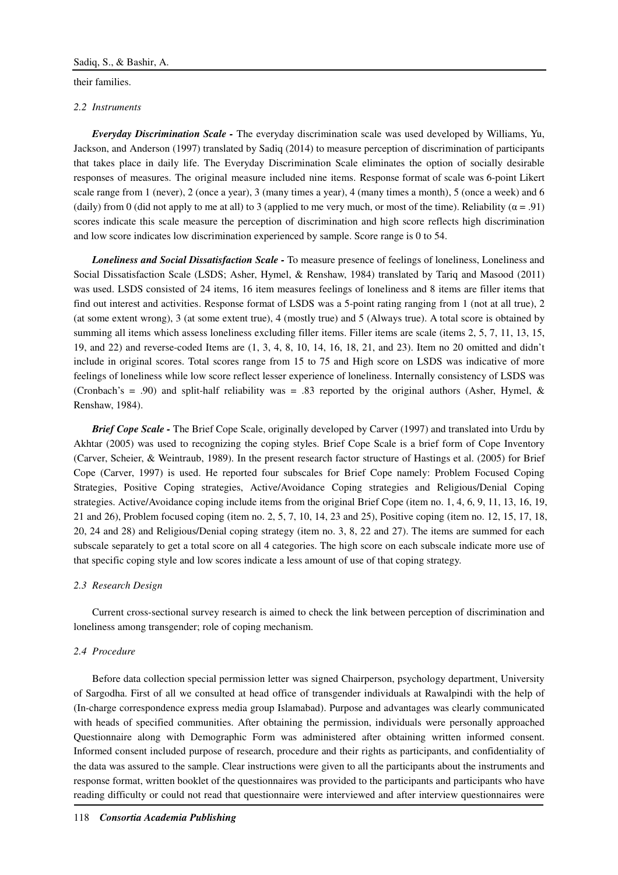their families.

### *2.2 Instruments*

*Everyday Discrimination Scale -* The everyday discrimination scale was used developed by Williams, Yu, Jackson, and Anderson (1997) translated by Sadiq (2014) to measure perception of discrimination of participants that takes place in daily life. The Everyday Discrimination Scale eliminates the option of socially desirable responses of measures. The original measure included nine items. Response format of scale was 6-point Likert scale range from 1 (never), 2 (once a year), 3 (many times a year), 4 (many times a month), 5 (once a week) and 6 (daily) from 0 (did not apply to me at all) to 3 (applied to me very much, or most of the time). Reliability  $(\alpha = .91)$ scores indicate this scale measure the perception of discrimination and high score reflects high discrimination and low score indicates low discrimination experienced by sample. Score range is 0 to 54.

*Loneliness and Social Dissatisfaction Scale -* To measure presence of feelings of loneliness, Loneliness and Social Dissatisfaction Scale (LSDS; Asher, Hymel, & Renshaw, 1984) translated by Tariq and Masood (2011) was used. LSDS consisted of 24 items, 16 item measures feelings of loneliness and 8 items are filler items that find out interest and activities. Response format of LSDS was a 5-point rating ranging from 1 (not at all true), 2 (at some extent wrong), 3 (at some extent true), 4 (mostly true) and 5 (Always true). A total score is obtained by summing all items which assess loneliness excluding filler items. Filler items are scale (items 2, 5, 7, 11, 13, 15, 19, and 22) and reverse-coded Items are (1, 3, 4, 8, 10, 14, 16, 18, 21, and 23). Item no 20 omitted and didn't include in original scores. Total scores range from 15 to 75 and High score on LSDS was indicative of more feelings of loneliness while low score reflect lesser experience of loneliness. Internally consistency of LSDS was (Cronbach's = .90) and split-half reliability was = .83 reported by the original authors (Asher, Hymel,  $\&$ Renshaw, 1984).

*Brief Cope Scale -* The Brief Cope Scale, originally developed by Carver (1997) and translated into Urdu by Akhtar (2005) was used to recognizing the coping styles. Brief Cope Scale is a brief form of Cope Inventory (Carver, Scheier, & Weintraub, 1989). In the present research factor structure of Hastings et al. (2005) for Brief Cope (Carver, 1997) is used. He reported four subscales for Brief Cope namely: Problem Focused Coping Strategies, Positive Coping strategies, Active/Avoidance Coping strategies and Religious/Denial Coping strategies. Active/Avoidance coping include items from the original Brief Cope (item no. 1, 4, 6, 9, 11, 13, 16, 19, 21 and 26), Problem focused coping (item no. 2, 5, 7, 10, 14, 23 and 25), Positive coping (item no. 12, 15, 17, 18, 20, 24 and 28) and Religious/Denial coping strategy (item no. 3, 8, 22 and 27). The items are summed for each subscale separately to get a total score on all 4 categories. The high score on each subscale indicate more use of that specific coping style and low scores indicate a less amount of use of that coping strategy.

### *2.3 Research Design*

Current cross-sectional survey research is aimed to check the link between perception of discrimination and loneliness among transgender; role of coping mechanism.

### *2.4 Procedure*

Before data collection special permission letter was signed Chairperson, psychology department, University of Sargodha. First of all we consulted at head office of transgender individuals at Rawalpindi with the help of (In-charge correspondence express media group Islamabad). Purpose and advantages was clearly communicated with heads of specified communities. After obtaining the permission, individuals were personally approached Questionnaire along with Demographic Form was administered after obtaining written informed consent. Informed consent included purpose of research, procedure and their rights as participants, and confidentiality of the data was assured to the sample. Clear instructions were given to all the participants about the instruments and response format, written booklet of the questionnaires was provided to the participants and participants who have reading difficulty or could not read that questionnaire were interviewed and after interview questionnaires were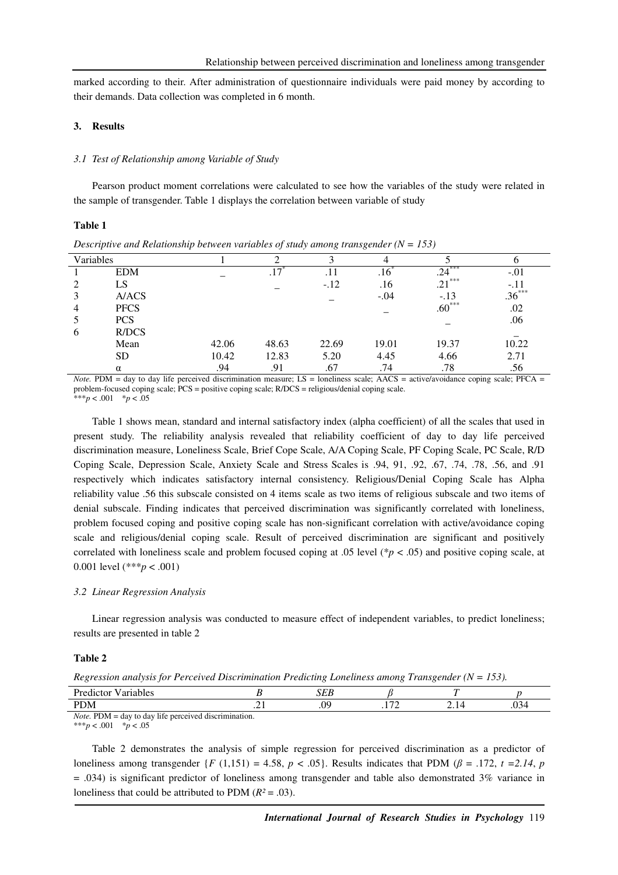marked according to their. After administration of questionnaire individuals were paid money by according to their demands. Data collection was completed in 6 month.

### **3. Results**

#### *3.1 Test of Relationship among Variable of Study*

Pearson product moment correlations were calculated to see how the variables of the study were related in the sample of transgender. Table 1 displays the correlation between variable of study

### **Table 1**

*Descriptive and Relationship between variables of study among transgender (N = 153)* 

| Variables      |                                   |       |       |        |                                                                                                                 |            |                                                                |
|----------------|-----------------------------------|-------|-------|--------|-----------------------------------------------------------------------------------------------------------------|------------|----------------------------------------------------------------|
|                | <b>EDM</b>                        |       |       |        | .10                                                                                                             | ***<br>.24 | $-.01$                                                         |
| 2              | LS                                |       |       | $-.12$ | .16                                                                                                             | $.21***$   | $-.11$                                                         |
| 3              | A/ACS                             |       |       |        | $-.04$                                                                                                          | $-.13$     | $.36***$                                                       |
| $\overline{4}$ | <b>PFCS</b>                       |       |       |        |                                                                                                                 | $.60***$   | .02                                                            |
|                | <b>PCS</b>                        |       |       |        |                                                                                                                 |            | .06                                                            |
| 6              | R/DCS                             |       |       |        |                                                                                                                 |            |                                                                |
|                | Mean                              | 42.06 | 48.63 | 22.69  | 19.01                                                                                                           | 19.37      | 10.22                                                          |
|                | <b>SD</b>                         | 10.42 | 12.83 | 5.20   | 4.45                                                                                                            | 4.66       | 2.71                                                           |
|                | α                                 | .94   | .91   | .67    | .74                                                                                                             | .78        | .56                                                            |
| $ -$           | $\rightarrow$<br>------<br>$\sim$ |       |       | .      | the contract of the contract of the contract of the contract of the contract of the contract of the contract of | .          | <b>Service State Control</b><br>$\ddot{\phantom{1}}$<br>$\sim$ |

*Note.* PDM = day to day life perceived discrimination measure; LS = loneliness scale; AACS = active/avoidance coping scale; PFCA = problem-focused coping scale; PCS = positive coping scale; R/DCS = religious/denial coping scale.

\*\*\**p* < .001 \**p* < .05

Table 1 shows mean, standard and internal satisfactory index (alpha coefficient) of all the scales that used in present study. The reliability analysis revealed that reliability coefficient of day to day life perceived discrimination measure, Loneliness Scale, Brief Cope Scale, A/A Coping Scale, PF Coping Scale, PC Scale, R/D Coping Scale, Depression Scale, Anxiety Scale and Stress Scales is .94, 91, .92, .67, .74, .78, .56, and .91 respectively which indicates satisfactory internal consistency. Religious/Denial Coping Scale has Alpha reliability value .56 this subscale consisted on 4 items scale as two items of religious subscale and two items of denial subscale. Finding indicates that perceived discrimination was significantly correlated with loneliness, problem focused coping and positive coping scale has non-significant correlation with active/avoidance coping scale and religious/denial coping scale. Result of perceived discrimination are significant and positively correlated with loneliness scale and problem focused coping at .05 level (\**p* < .05) and positive coping scale, at 0.001 level (\*\*\**p* < .001)

#### *3.2 Linear Regression Analysis*

Linear regression analysis was conducted to measure effect of independent variables, to predict loneliness; results are presented in table 2

### **Table 2**

*Regression analysis for Perceived Discrimination Predicting Loneliness among Transgender (N = 153).* 

| <b>D</b><br>Dro<br>ctor<br>⁄ ariables                                  |        | $\alpha$ rin<br>ىرىر |                          |  |        |  |
|------------------------------------------------------------------------|--------|----------------------|--------------------------|--|--------|--|
| <b>PDM</b>                                                             | $\sim$ | .09                  | $\overline{\phantom{a}}$ |  | .v., • |  |
| $Noto$ DNM<br>$\cdots$<br>$-$ day to day life perceived discrimination |        |                      |                          |  |        |  |

lay to day life perceived discrimination. \*\*\**p* < .001 \**p* < .05

Table 2 demonstrates the analysis of simple regression for perceived discrimination as a predictor of loneliness among transgender  $\{F(1,151) = 4.58, p < .05\}$ . Results indicates that PDM ( $\beta = .172, t = 2.14, p$  $= .034$ ) is significant predictor of loneliness among transgender and table also demonstrated 3% variance in loneliness that could be attributed to PDM  $(R^2 = .03)$ .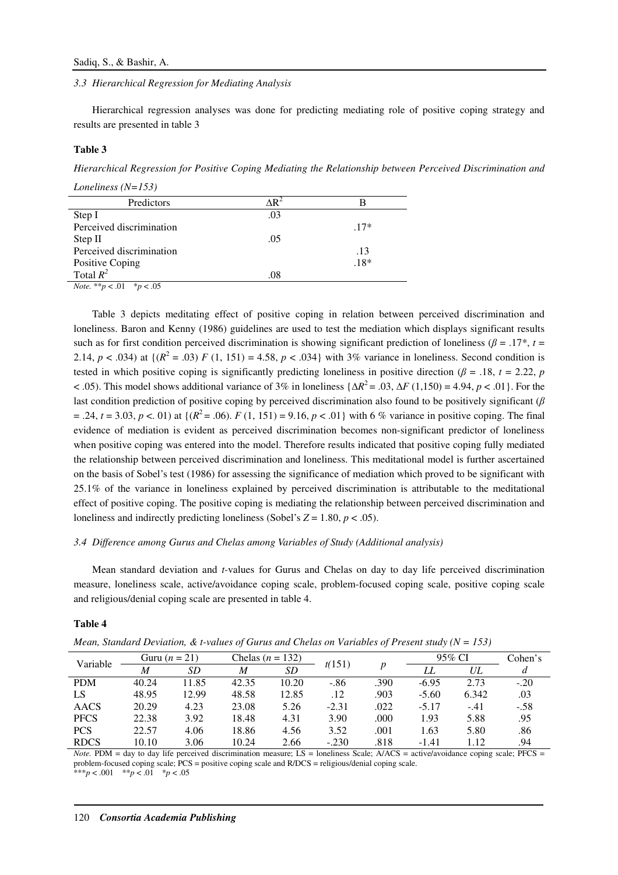### *3.3 Hierarchical Regression for Mediating Analysis*

Hierarchical regression analyses was done for predicting mediating role of positive coping strategy and results are presented in table 3

### **Table 3**

*Hierarchical Regression for Positive Coping Mediating the Relationship between Perceived Discrimination and* 

*Loneliness (N=153)* 

| Predictors                                                                                                           |     |        |
|----------------------------------------------------------------------------------------------------------------------|-----|--------|
| Step I                                                                                                               | .03 |        |
| Perceived discrimination                                                                                             |     | $.17*$ |
| Step II                                                                                                              | .05 |        |
| Perceived discrimination                                                                                             |     | .13    |
| Positive Coping<br>Total $R^2$                                                                                       |     | $.18*$ |
|                                                                                                                      | .08 |        |
| $\mathbf{v}$ $\mathbf{v}$ $\mathbf{v}$ $\mathbf{v}$ $\mathbf{v}$ $\mathbf{v}$ $\mathbf{v}$ $\mathbf{v}$ $\mathbf{v}$ |     |        |

*Note.* \*\**p* < .01 \**p* < .05

Table 3 depicts meditating effect of positive coping in relation between perceived discrimination and loneliness. Baron and Kenny (1986) guidelines are used to test the mediation which displays significant results such as for first condition perceived discrimination is showing significant prediction of loneliness ( $\beta = .17^*$ ,  $t =$ 2.14,  $p < .034$ ) at  $\{(R^2 = .03) F (1, 151) = 4.58, p < .034\}$  with 3% variance in loneliness. Second condition is tested in which positive coping is significantly predicting loneliness in positive direction ( $\beta$  = .18, *t* = 2.22, *p* < .05). This model shows additional variance of 3% in loneliness {∆*R* <sup>2</sup>= .03, ∆*F* (1,150) = 4.94, *p* < .01}. For the last condition prediction of positive coping by perceived discrimination also found to be positively significant ( $\beta$ )  $= .24$ ,  $t = 3.03$ ,  $p < .01$ ) at { $(R<sup>2</sup> = .06)$ .  $F(1, 151) = 9.16$ ,  $p < .01$ } with 6 % variance in positive coping. The final evidence of mediation is evident as perceived discrimination becomes non-significant predictor of loneliness when positive coping was entered into the model. Therefore results indicated that positive coping fully mediated the relationship between perceived discrimination and loneliness. This meditational model is further ascertained on the basis of Sobel's test (1986) for assessing the significance of mediation which proved to be significant with 25.1% of the variance in loneliness explained by perceived discrimination is attributable to the meditational effect of positive coping. The positive coping is mediating the relationship between perceived discrimination and loneliness and indirectly predicting loneliness (Sobel's  $Z = 1.80$ ,  $p < .05$ ).

### *3.4 Difference among Gurus and Chelas among Variables of Study (Additional analysis)*

Mean standard deviation and *t-*values for Gurus and Chelas on day to day life perceived discrimination measure, loneliness scale, active/avoidance coping scale, problem-focused coping scale, positive coping scale and religious/denial coping scale are presented in table 4.

### **Table 4**

*Mean, Standard Deviation, & t-values of Gurus and Chelas on Variables of Present study (N = 153)* 

| Variable    | Guru $(n=21)$ |       |       | Chelas $(n = 132)$ |         |      | 95% CI  |        | Cohen's |
|-------------|---------------|-------|-------|--------------------|---------|------|---------|--------|---------|
|             | M             | SD    | M     | SD                 | t(151)  |      |         | UL     |         |
| <b>PDM</b>  | 40.24         | 11.85 | 42.35 | 10.20              | $-.86$  | .390 | $-6.95$ | 2.73   | $-.20$  |
| LS          | 48.95         | 12.99 | 48.58 | 12.85              | .12     | .903 | $-5.60$ | 6.342  | .03     |
| AACS        | 20.29         | 4.23  | 23.08 | 5.26               | $-2.31$ | .022 | $-5.17$ | $-.41$ | $-.58$  |
| <b>PFCS</b> | 22.38         | 3.92  | 18.48 | 4.31               | 3.90    | .000 | 1.93    | 5.88   | .95     |
| <b>PCS</b>  | 22.57         | 4.06  | 18.86 | 4.56               | 3.52    | .001 | 1.63    | 5.80   | .86     |
| <b>RDCS</b> | 10.10         | 3.06  | 10.24 | 2.66               | $-.230$ | .818 | $-1.41$ | 1.12   | .94     |

*Note.* PDM = day to day life perceived discrimination measure;  $LS =$  loneliness Scale;  $A/ACS =$  active/avoidance coping scale;  $PFCS =$ problem-focused coping scale; PCS = positive coping scale and R/DCS = religious/denial coping scale.

\*\*\**p* < .001 \*\**p* < .01 \**p* < .05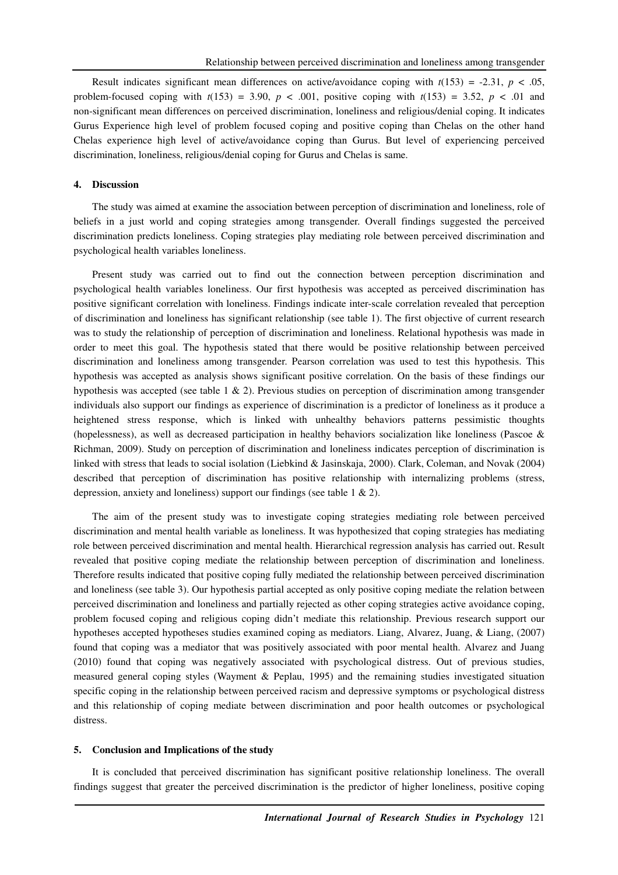Result indicates significant mean differences on active/avoidance coping with  $t(153) = -2.31$ ,  $p < .05$ , problem-focused coping with  $t(153) = 3.90$ ,  $p < .001$ , positive coping with  $t(153) = 3.52$ ,  $p < .01$  and non-significant mean differences on perceived discrimination, loneliness and religious/denial coping. It indicates Gurus Experience high level of problem focused coping and positive coping than Chelas on the other hand Chelas experience high level of active/avoidance coping than Gurus. But level of experiencing perceived discrimination, loneliness, religious/denial coping for Gurus and Chelas is same.

### **4. Discussion**

The study was aimed at examine the association between perception of discrimination and loneliness, role of beliefs in a just world and coping strategies among transgender. Overall findings suggested the perceived discrimination predicts loneliness. Coping strategies play mediating role between perceived discrimination and psychological health variables loneliness.

Present study was carried out to find out the connection between perception discrimination and psychological health variables loneliness. Our first hypothesis was accepted as perceived discrimination has positive significant correlation with loneliness. Findings indicate inter-scale correlation revealed that perception of discrimination and loneliness has significant relationship (see table 1). The first objective of current research was to study the relationship of perception of discrimination and loneliness. Relational hypothesis was made in order to meet this goal. The hypothesis stated that there would be positive relationship between perceived discrimination and loneliness among transgender. Pearson correlation was used to test this hypothesis. This hypothesis was accepted as analysis shows significant positive correlation. On the basis of these findings our hypothesis was accepted (see table 1 & 2). Previous studies on perception of discrimination among transgender individuals also support our findings as experience of discrimination is a predictor of loneliness as it produce a heightened stress response, which is linked with unhealthy behaviors patterns pessimistic thoughts (hopelessness), as well as decreased participation in healthy behaviors socialization like loneliness (Pascoe & Richman, 2009). Study on perception of discrimination and loneliness indicates perception of discrimination is linked with stress that leads to social isolation (Liebkind & Jasinskaja, 2000). Clark, Coleman, and Novak (2004) described that perception of discrimination has positive relationship with internalizing problems (stress, depression, anxiety and loneliness) support our findings (see table 1 & 2).

The aim of the present study was to investigate coping strategies mediating role between perceived discrimination and mental health variable as loneliness. It was hypothesized that coping strategies has mediating role between perceived discrimination and mental health. Hierarchical regression analysis has carried out. Result revealed that positive coping mediate the relationship between perception of discrimination and loneliness. Therefore results indicated that positive coping fully mediated the relationship between perceived discrimination and loneliness (see table 3). Our hypothesis partial accepted as only positive coping mediate the relation between perceived discrimination and loneliness and partially rejected as other coping strategies active avoidance coping, problem focused coping and religious coping didn't mediate this relationship. Previous research support our hypotheses accepted hypotheses studies examined coping as mediators. Liang, Alvarez, Juang, & Liang, (2007) found that coping was a mediator that was positively associated with poor mental health. Alvarez and Juang (2010) found that coping was negatively associated with psychological distress. Out of previous studies, measured general coping styles (Wayment & Peplau, 1995) and the remaining studies investigated situation specific coping in the relationship between perceived racism and depressive symptoms or psychological distress and this relationship of coping mediate between discrimination and poor health outcomes or psychological distress.

### **5. Conclusion and Implications of the study**

It is concluded that perceived discrimination has significant positive relationship loneliness. The overall findings suggest that greater the perceived discrimination is the predictor of higher loneliness, positive coping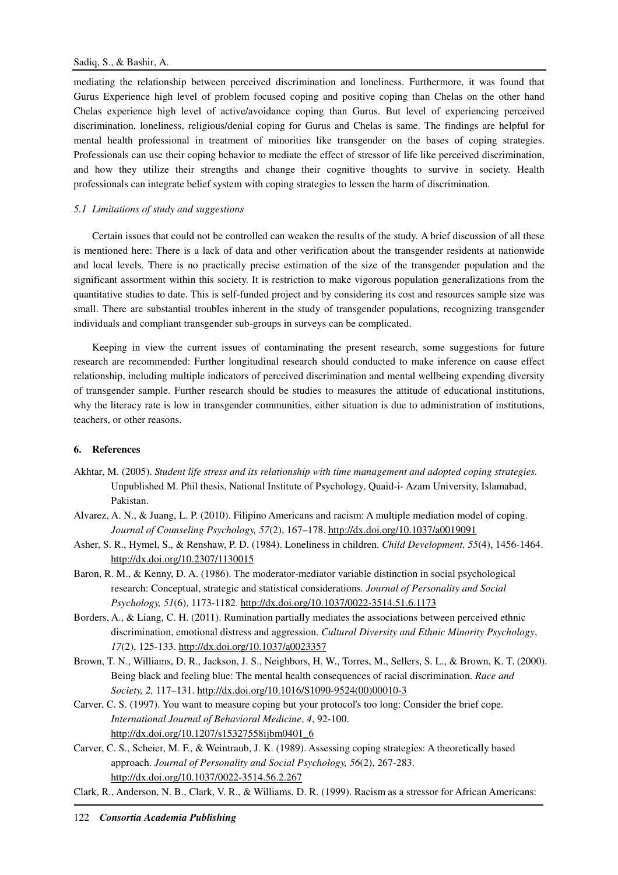mediating the relationship between perceived discrimination and loneliness. Furthermore, it was found that Gurus Experience high level of problem focused coping and positive coping than Chelas on the other hand Chelas experience high level of active/avoidance coping than Gurus. But level of experiencing perceived discrimination, loneliness, religious/denial coping for Gurus and Chelas is same. The findings are helpful for mental health professional in treatment of minorities like transgender on the bases of coping strategies. Professionals can use their coping behavior to mediate the effect of stressor of life like perceived discrimination, and how they utilize their strengths and change their cognitive thoughts to survive in society. Health professionals can integrate belief system with coping strategies to lessen the harm of discrimination.

## *5.1 Limitations of study and suggestions*

Certain issues that could not be controlled can weaken the results of the study. A brief discussion of all these is mentioned here: There is a lack of data and other verification about the transgender residents at nationwide and local levels. There is no practically precise estimation of the size of the transgender population and the significant assortment within this society. It is restriction to make vigorous population generalizations from the quantitative studies to date. This is self-funded project and by considering its cost and resources sample size was small. There are substantial troubles inherent in the study of transgender populations, recognizing transgender individuals and compliant transgender sub-groups in surveys can be complicated.

Keeping in view the current issues of contaminating the present research, some suggestions for future research are recommended: Further longitudinal research should conducted to make inference on cause effect relationship, including multiple indicators of perceived discrimination and mental wellbeing expending diversity of transgender sample. Further research should be studies to measures the attitude of educational institutions, why the literacy rate is low in transgender communities, either situation is due to administration of institutions, teachers, or other reasons.

# **6. References**

- Akhtar, M. (2005). *Student life stress and its relationship with time management and adopted coping strategies.* Unpublished M. Phil thesis, National Institute of Psychology, Quaid-i- Azam University, Islamabad, Pakistan.
- Alvarez, A. N., & Juang, L. P. (2010). Filipino Americans and racism: A multiple mediation model of coping. *Journal of Counseling Psychology, 57*(2), 167–178. http://dx.doi.org/10.1037/a0019091
- Asher, S. R., Hymel, S., & Renshaw, P. D. (1984). Loneliness in children. *Child Development, 55*(4), 1456-1464. http://dx.doi.org/10.2307/1130015
- Baron, R. M., & Kenny, D. A. (1986). The moderator-mediator variable distinction in social psychological research: Conceptual, strategic and statistical considerations*. Journal of Personality and Social Psychology, 51*(6), 1173-1182. http://dx.doi.org/10.1037/0022-3514.51.6.1173
- Borders, A., & Liang, C. H. (2011). Rumination partially mediates the associations between perceived ethnic discrimination, emotional distress and aggression. *Cultural Diversity and Ethnic Minority Psychology*, *17*(2), 125-133. http://dx.doi.org/10.1037/a0023357
- Brown, T. N., Williams, D. R., Jackson, J. S., Neighbors, H. W., Torres, M., Sellers, S. L., & Brown, K. T. (2000). Being black and feeling blue: The mental health consequences of racial discrimination. *Race and Society, 2,* 117–131. http://dx.doi.org/10.1016/S1090-9524(00)00010-3
- Carver, C. S. (1997). You want to measure coping but your protocol's too long: Consider the brief cope. *International Journal of Behavioral Medicine*, *4*, 92-100. http://dx.doi.org/10.1207/s15327558ijbm0401\_6
- Carver, C. S., Scheier, M. F., & Weintraub, J. K. (1989). Assessing coping strategies: A theoretically based approach. *Journal of Personality and Social Psychology, 56*(2), 267-283. http://dx.doi.org/10.1037/0022-3514.56.2.267
- Clark, R., Anderson, N. B., Clark, V. R., & Williams, D. R. (1999). Racism as a stressor for African Americans: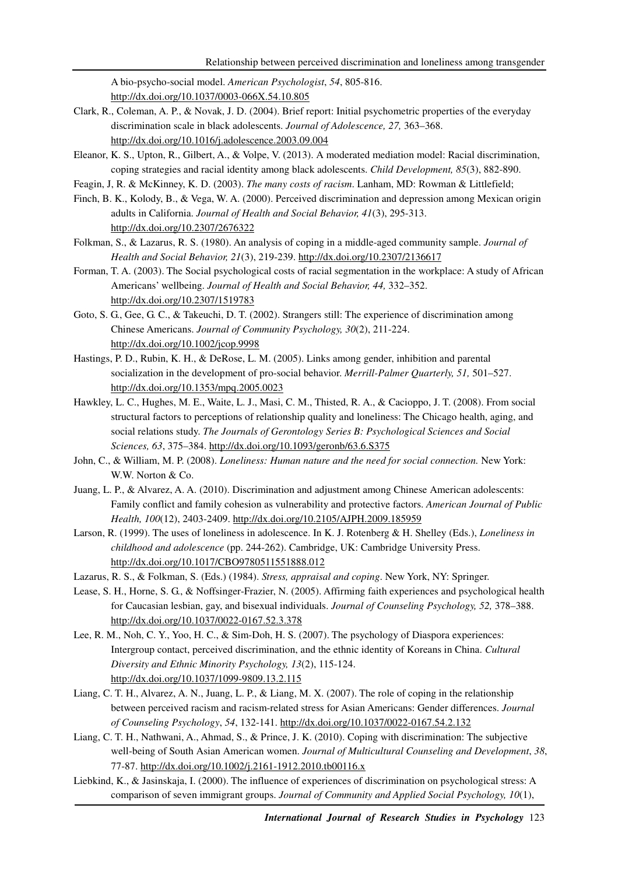A bio-psycho-social model. *American Psychologist*, *54*, 805-816. http://dx.doi.org/10.1037/0003-066X.54.10.805

- Clark, R., Coleman, A. P., & Novak, J. D. (2004). Brief report: Initial psychometric properties of the everyday discrimination scale in black adolescents. *Journal of Adolescence, 27,* 363–368. http://dx.doi.org/10.1016/j.adolescence.2003.09.004
- Eleanor, K. S., Upton, R., Gilbert, A., & Volpe, V. (2013). A moderated mediation model: Racial discrimination, coping strategies and racial identity among black adolescents. *Child Development, 85*(3), 882-890.
- Feagin, J, R. & McKinney, K. D. (2003). *The many costs of racism*. Lanham, MD: Rowman & Littlefield;
- Finch, B. K., Kolody, B., & Vega, W. A. (2000). Perceived discrimination and depression among Mexican origin adults in California. *Journal of Health and Social Behavior, 41*(3), 295-313. http://dx.doi.org/10.2307/2676322
- Folkman, S., & Lazarus, R. S. (1980). An analysis of coping in a middle-aged community sample. *Journal of Health and Social Behavior, 21*(3), 219-239. http://dx.doi.org/10.2307/2136617
- Forman, T. A. (2003). The Social psychological costs of racial segmentation in the workplace: A study of African Americans' wellbeing. *Journal of Health and Social Behavior, 44,* 332–352. http://dx.doi.org/10.2307/1519783
- Goto, S. G., Gee, G. C., & Takeuchi, D. T. (2002). Strangers still: The experience of discrimination among Chinese Americans. *Journal of Community Psychology, 30*(2), 211-224. http://dx.doi.org/10.1002/jcop.9998
- Hastings, P. D., Rubin, K. H., & DeRose, L. M. (2005). Links among gender, inhibition and parental socialization in the development of pro-social behavior. *Merrill-Palmer Quarterly, 51,* 501–527. http://dx.doi.org/10.1353/mpq.2005.0023
- Hawkley, L. C., Hughes, M. E., Waite, L. J., Masi, C. M., Thisted, R. A., & Cacioppo, J. T. (2008). From social structural factors to perceptions of relationship quality and loneliness: The Chicago health, aging, and social relations study. *The Journals of Gerontology Series B: Psychological Sciences and Social Sciences, 63*, 375–384. http://dx.doi.org/10.1093/geronb/63.6.S375
- John, C., & William, M. P. (2008). *Loneliness: Human nature and the need for social connection.* New York: W.W. Norton & Co.
- Juang, L. P., & Alvarez, A. A. (2010). Discrimination and adjustment among Chinese American adolescents: Family conflict and family cohesion as vulnerability and protective factors. *American Journal of Public Health, 100*(12), 2403-2409. http://dx.doi.org/10.2105/AJPH.2009.185959
- Larson, R. (1999). The uses of loneliness in adolescence. In K. J. Rotenberg & H. Shelley (Eds.), *Loneliness in childhood and adolescence* (pp. 244-262). Cambridge, UK: Cambridge University Press. http://dx.doi.org/10.1017/CBO9780511551888.012
- Lazarus, R. S., & Folkman, S. (Eds.) (1984). *Stress, appraisal and coping*. New York, NY: Springer.
- Lease, S. H., Horne, S. G., & Noffsinger-Frazier, N. (2005). Affirming faith experiences and psychological health for Caucasian lesbian, gay, and bisexual individuals. *Journal of Counseling Psychology, 52,* 378–388. http://dx.doi.org/10.1037/0022-0167.52.3.378
- Lee, R. M., Noh, C. Y., Yoo, H. C., & Sim-Doh, H. S. (2007). The psychology of Diaspora experiences: Intergroup contact, perceived discrimination, and the ethnic identity of Koreans in China. *Cultural Diversity and Ethnic Minority Psychology, 13*(2), 115-124. http://dx.doi.org/10.1037/1099-9809.13.2.115
- Liang, C. T. H., Alvarez, A. N., Juang, L. P., & Liang, M. X. (2007). The role of coping in the relationship between perceived racism and racism-related stress for Asian Americans: Gender differences. *Journal of Counseling Psychology*, *54*, 132-141. http://dx.doi.org/10.1037/0022-0167.54.2.132
- Liang, C. T. H., Nathwani, A., Ahmad, S., & Prince, J. K. (2010). Coping with discrimination: The subjective well-being of South Asian American women. *Journal of Multicultural Counseling and Development*, *38*, 77-87. http://dx.doi.org/10.1002/j.2161-1912.2010.tb00116.x
- Liebkind, K., & Jasinskaja, I. (2000). The influence of experiences of discrimination on psychological stress: A comparison of seven immigrant groups. *Journal of Community and Applied Social Psychology, 10*(1),